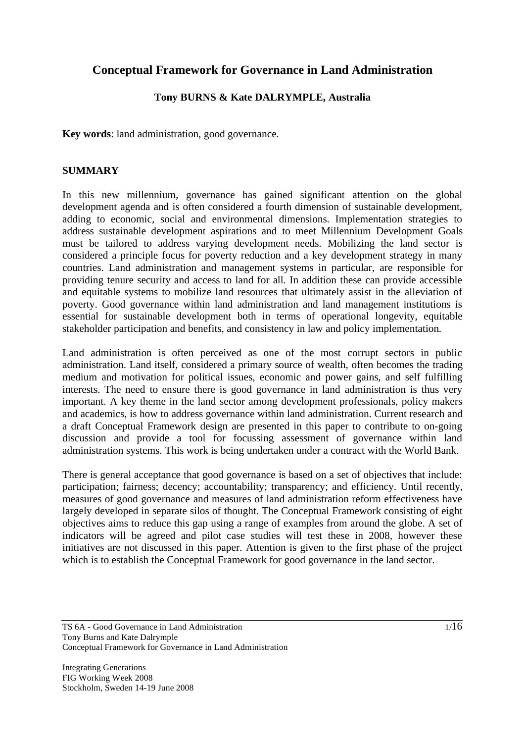# **Conceptual Framework for Governance in Land Administration**

#### **Tony BURNS & Kate DALRYMPLE, Australia**

**Key words**: land administration, good governance.

#### **SUMMARY**

In this new millennium, governance has gained significant attention on the global development agenda and is often considered a fourth dimension of sustainable development, adding to economic, social and environmental dimensions. Implementation strategies to address sustainable development aspirations and to meet Millennium Development Goals must be tailored to address varying development needs. Mobilizing the land sector is considered a principle focus for poverty reduction and a key development strategy in many countries. Land administration and management systems in particular, are responsible for providing tenure security and access to land for all. In addition these can provide accessible and equitable systems to mobilize land resources that ultimately assist in the alleviation of poverty. Good governance within land administration and land management institutions is essential for sustainable development both in terms of operational longevity, equitable stakeholder participation and benefits, and consistency in law and policy implementation.

Land administration is often perceived as one of the most corrupt sectors in public administration. Land itself, considered a primary source of wealth, often becomes the trading medium and motivation for political issues, economic and power gains, and self fulfilling interests. The need to ensure there is good governance in land administration is thus very important. A key theme in the land sector among development professionals, policy makers and academics, is how to address governance within land administration. Current research and a draft Conceptual Framework design are presented in this paper to contribute to on-going discussion and provide a tool for focussing assessment of governance within land administration systems. This work is being undertaken under a contract with the World Bank.

There is general acceptance that good governance is based on a set of objectives that include: participation; fairness; decency; accountability; transparency; and efficiency. Until recently, measures of good governance and measures of land administration reform effectiveness have largely developed in separate silos of thought. The Conceptual Framework consisting of eight objectives aims to reduce this gap using a range of examples from around the globe. A set of indicators will be agreed and pilot case studies will test these in 2008, however these initiatives are not discussed in this paper. Attention is given to the first phase of the project which is to establish the Conceptual Framework for good governance in the land sector.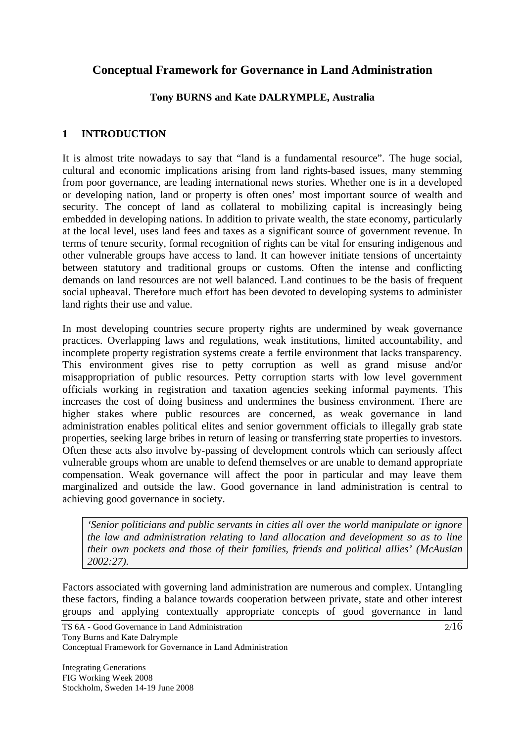# **Conceptual Framework for Governance in Land Administration**

#### **Tony BURNS and Kate DALRYMPLE, Australia**

## **1 INTRODUCTION**

It is almost trite nowadays to say that "land is a fundamental resource". The huge social, cultural and economic implications arising from land rights-based issues, many stemming from poor governance, are leading international news stories. Whether one is in a developed or developing nation, land or property is often ones' most important source of wealth and security. The concept of land as collateral to mobilizing capital is increasingly being embedded in developing nations. In addition to private wealth, the state economy, particularly at the local level, uses land fees and taxes as a significant source of government revenue. In terms of tenure security, formal recognition of rights can be vital for ensuring indigenous and other vulnerable groups have access to land. It can however initiate tensions of uncertainty between statutory and traditional groups or customs. Often the intense and conflicting demands on land resources are not well balanced. Land continues to be the basis of frequent social upheaval. Therefore much effort has been devoted to developing systems to administer land rights their use and value.

In most developing countries secure property rights are undermined by weak governance practices. Overlapping laws and regulations, weak institutions, limited accountability, and incomplete property registration systems create a fertile environment that lacks transparency. This environment gives rise to petty corruption as well as grand misuse and/or misappropriation of public resources. Petty corruption starts with low level government officials working in registration and taxation agencies seeking informal payments. This increases the cost of doing business and undermines the business environment. There are higher stakes where public resources are concerned, as weak governance in land administration enables political elites and senior government officials to illegally grab state properties, seeking large bribes in return of leasing or transferring state properties to investors. Often these acts also involve by-passing of development controls which can seriously affect vulnerable groups whom are unable to defend themselves or are unable to demand appropriate compensation. Weak governance will affect the poor in particular and may leave them marginalized and outside the law. Good governance in land administration is central to achieving good governance in society.

*'Senior politicians and public servants in cities all over the world manipulate or ignore the law and administration relating to land allocation and development so as to line their own pockets and those of their families, friends and political allies' (McAuslan 2002:27).*

Factors associated with governing land administration are numerous and complex. Untangling these factors, finding a balance towards cooperation between private, state and other interest groups and applying contextually appropriate concepts of good governance in land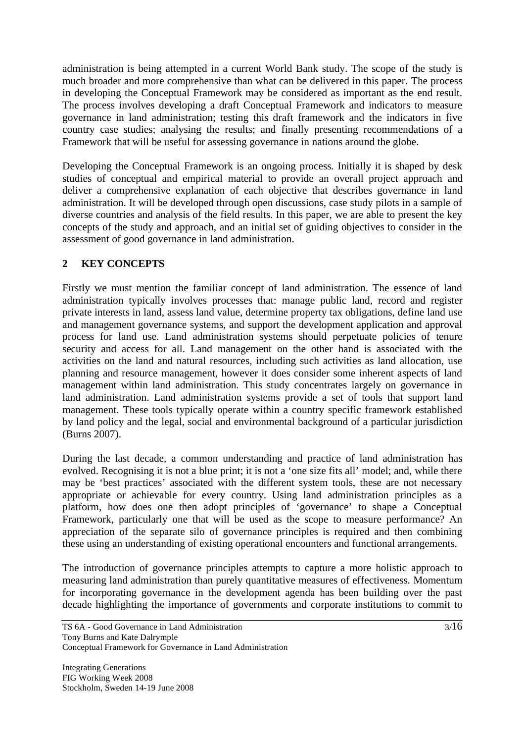administration is being attempted in a current World Bank study. The scope of the study is much broader and more comprehensive than what can be delivered in this paper. The process in developing the Conceptual Framework may be considered as important as the end result. The process involves developing a draft Conceptual Framework and indicators to measure governance in land administration; testing this draft framework and the indicators in five country case studies; analysing the results; and finally presenting recommendations of a Framework that will be useful for assessing governance in nations around the globe.

Developing the Conceptual Framework is an ongoing process. Initially it is shaped by desk studies of conceptual and empirical material to provide an overall project approach and deliver a comprehensive explanation of each objective that describes governance in land administration. It will be developed through open discussions, case study pilots in a sample of diverse countries and analysis of the field results. In this paper, we are able to present the key concepts of the study and approach, and an initial set of guiding objectives to consider in the assessment of good governance in land administration.

## **2 KEY CONCEPTS**

Firstly we must mention the familiar concept of land administration. The essence of land administration typically involves processes that: manage public land, record and register private interests in land, assess land value, determine property tax obligations, define land use and management governance systems, and support the development application and approval process for land use. Land administration systems should perpetuate policies of tenure security and access for all. Land management on the other hand is associated with the activities on the land and natural resources, including such activities as land allocation, use planning and resource management, however it does consider some inherent aspects of land management within land administration. This study concentrates largely on governance in land administration. Land administration systems provide a set of tools that support land management. These tools typically operate within a country specific framework established by land policy and the legal, social and environmental background of a particular jurisdiction (Burns 2007).

During the last decade, a common understanding and practice of land administration has evolved. Recognising it is not a blue print; it is not a 'one size fits all' model; and, while there may be 'best practices' associated with the different system tools, these are not necessary appropriate or achievable for every country. Using land administration principles as a platform, how does one then adopt principles of 'governance' to shape a Conceptual Framework, particularly one that will be used as the scope to measure performance? An appreciation of the separate silo of governance principles is required and then combining these using an understanding of existing operational encounters and functional arrangements.

The introduction of governance principles attempts to capture a more holistic approach to measuring land administration than purely quantitative measures of effectiveness. Momentum for incorporating governance in the development agenda has been building over the past decade highlighting the importance of governments and corporate institutions to commit to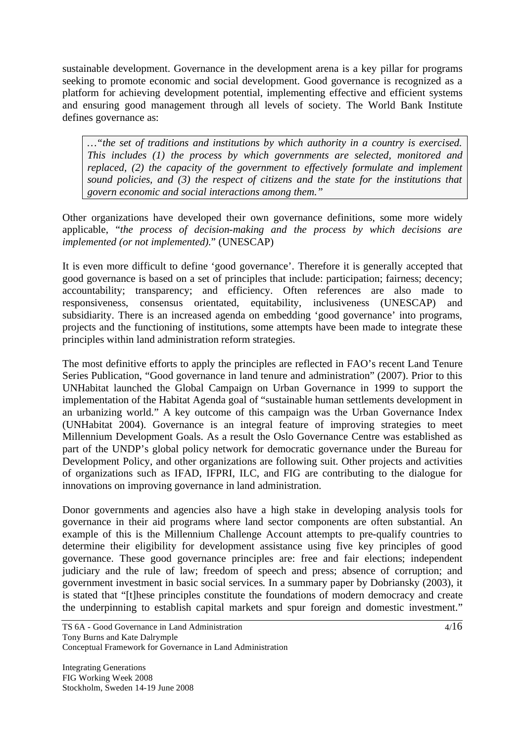sustainable development. Governance in the development arena is a key pillar for programs seeking to promote economic and social development. Good governance is recognized as a platform for achieving development potential, implementing effective and efficient systems and ensuring good management through all levels of society. The World Bank Institute defines governance as:

*…"the set of traditions and institutions by which authority in a country is exercised. This includes (1) the process by which governments are selected, monitored and replaced, (2) the capacity of the government to effectively formulate and implement sound policies, and (3) the respect of citizens and the state for the institutions that govern economic and social interactions among them."* 

Other organizations have developed their own governance definitions, some more widely applicable, "*the process of decision-making and the process by which decisions are implemented (or not implemented)*." (UNESCAP)

It is even more difficult to define 'good governance'. Therefore it is generally accepted that good governance is based on a set of principles that include: participation; fairness; decency; accountability; transparency; and efficiency. Often references are also made to responsiveness, consensus orientated, equitability, inclusiveness (UNESCAP) and subsidiarity. There is an increased agenda on embedding 'good governance' into programs, projects and the functioning of institutions, some attempts have been made to integrate these principles within land administration reform strategies.

The most definitive efforts to apply the principles are reflected in FAO's recent Land Tenure Series Publication, "Good governance in land tenure and administration" (2007). Prior to this UNHabitat launched the Global Campaign on Urban Governance in 1999 to support the implementation of the Habitat Agenda goal of "sustainable human settlements development in an urbanizing world." A key outcome of this campaign was the Urban Governance Index (UNHabitat 2004). Governance is an integral feature of improving strategies to meet Millennium Development Goals. As a result the Oslo Governance Centre was established as part of the UNDP's global policy network for democratic governance under the Bureau for Development Policy, and other organizations are following suit. Other projects and activities of organizations such as IFAD, IFPRI, ILC, and FIG are contributing to the dialogue for innovations on improving governance in land administration.

Donor governments and agencies also have a high stake in developing analysis tools for governance in their aid programs where land sector components are often substantial. An example of this is the Millennium Challenge Account attempts to pre-qualify countries to determine their eligibility for development assistance using five key principles of good governance. These good governance principles are: free and fair elections; independent judiciary and the rule of law; freedom of speech and press; absence of corruption; and government investment in basic social services*.* In a summary paper by Dobriansky (2003), it is stated that "[t]hese principles constitute the foundations of modern democracy and create the underpinning to establish capital markets and spur foreign and domestic investment."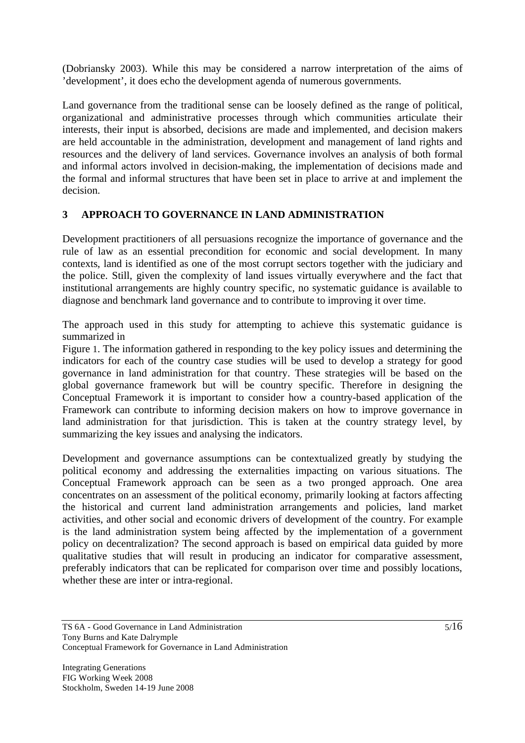(Dobriansky 2003). While this may be considered a narrow interpretation of the aims of 'development', it does echo the development agenda of numerous governments.

Land governance from the traditional sense can be loosely defined as the range of political, organizational and administrative processes through which communities articulate their interests, their input is absorbed, decisions are made and implemented, and decision makers are held accountable in the administration, development and management of land rights and resources and the delivery of land services. Governance involves an analysis of both formal and informal actors involved in decision-making, the implementation of decisions made and the formal and informal structures that have been set in place to arrive at and implement the decision.

## **3 APPROACH TO GOVERNANCE IN LAND ADMINISTRATION**

Development practitioners of all persuasions recognize the importance of governance and the rule of law as an essential precondition for economic and social development. In many contexts, land is identified as one of the most corrupt sectors together with the judiciary and the police. Still, given the complexity of land issues virtually everywhere and the fact that institutional arrangements are highly country specific, no systematic guidance is available to diagnose and benchmark land governance and to contribute to improving it over time.

The approach used in this study for attempting to achieve this systematic guidance is summarized in

Figure 1. The information gathered in responding to the key policy issues and determining the indicators for each of the country case studies will be used to develop a strategy for good governance in land administration for that country. These strategies will be based on the global governance framework but will be country specific. Therefore in designing the Conceptual Framework it is important to consider how a country-based application of the Framework can contribute to informing decision makers on how to improve governance in land administration for that jurisdiction. This is taken at the country strategy level, by summarizing the key issues and analysing the indicators.

Development and governance assumptions can be contextualized greatly by studying the political economy and addressing the externalities impacting on various situations. The Conceptual Framework approach can be seen as a two pronged approach. One area concentrates on an assessment of the political economy, primarily looking at factors affecting the historical and current land administration arrangements and policies, land market activities, and other social and economic drivers of development of the country. For example is the land administration system being affected by the implementation of a government policy on decentralization? The second approach is based on empirical data guided by more qualitative studies that will result in producing an indicator for comparative assessment, preferably indicators that can be replicated for comparison over time and possibly locations, whether these are inter or intra-regional.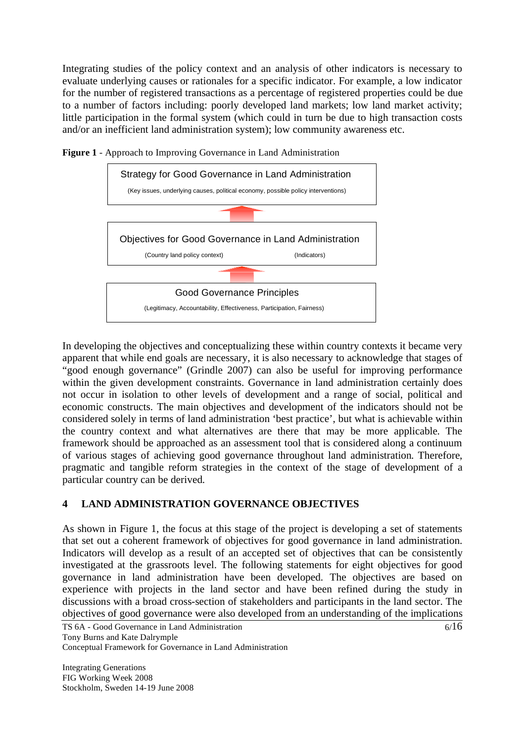Integrating studies of the policy context and an analysis of other indicators is necessary to evaluate underlying causes or rationales for a specific indicator. For example, a low indicator for the number of registered transactions as a percentage of registered properties could be due to a number of factors including: poorly developed land markets; low land market activity; little participation in the formal system (which could in turn be due to high transaction costs and/or an inefficient land administration system); low community awareness etc.



**Figure 1** - Approach to Improving Governance in Land Administration

In developing the objectives and conceptualizing these within country contexts it became very apparent that while end goals are necessary, it is also necessary to acknowledge that stages of "good enough governance" (Grindle 2007) can also be useful for improving performance within the given development constraints. Governance in land administration certainly does not occur in isolation to other levels of development and a range of social, political and economic constructs. The main objectives and development of the indicators should not be considered solely in terms of land administration 'best practice', but what is achievable within the country context and what alternatives are there that may be more applicable. The framework should be approached as an assessment tool that is considered along a continuum of various stages of achieving good governance throughout land administration. Therefore, pragmatic and tangible reform strategies in the context of the stage of development of a particular country can be derived.

## **4 LAND ADMINISTRATION GOVERNANCE OBJECTIVES**

As shown in Figure 1, the focus at this stage of the project is developing a set of statements that set out a coherent framework of objectives for good governance in land administration. Indicators will develop as a result of an accepted set of objectives that can be consistently investigated at the grassroots level. The following statements for eight objectives for good governance in land administration have been developed. The objectives are based on experience with projects in the land sector and have been refined during the study in discussions with a broad cross-section of stakeholders and participants in the land sector. The objectives of good governance were also developed from an understanding of the implications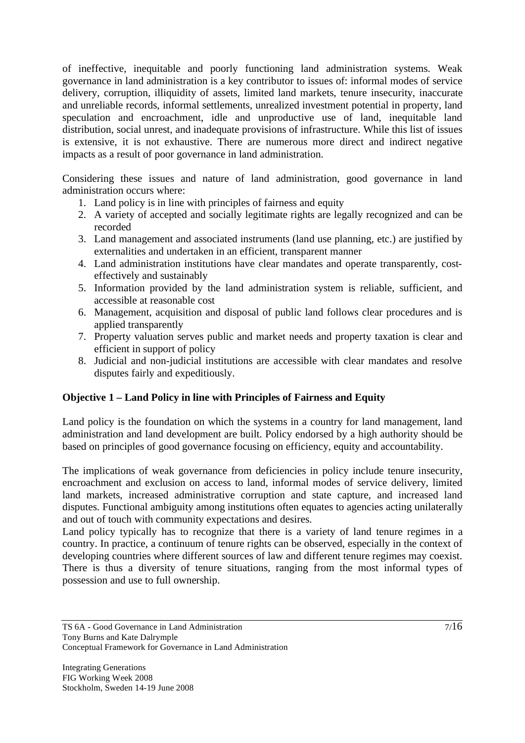of ineffective, inequitable and poorly functioning land administration systems. Weak governance in land administration is a key contributor to issues of: informal modes of service delivery, corruption, illiquidity of assets, limited land markets, tenure insecurity, inaccurate and unreliable records, informal settlements, unrealized investment potential in property, land speculation and encroachment, idle and unproductive use of land, inequitable land distribution, social unrest, and inadequate provisions of infrastructure. While this list of issues is extensive, it is not exhaustive. There are numerous more direct and indirect negative impacts as a result of poor governance in land administration.

Considering these issues and nature of land administration, good governance in land administration occurs where:

- 1. Land policy is in line with principles of fairness and equity
- 2. A variety of accepted and socially legitimate rights are legally recognized and can be recorded
- 3. Land management and associated instruments (land use planning, etc.) are justified by externalities and undertaken in an efficient, transparent manner
- 4. Land administration institutions have clear mandates and operate transparently, costeffectively and sustainably
- 5. Information provided by the land administration system is reliable, sufficient, and accessible at reasonable cost
- 6. Management, acquisition and disposal of public land follows clear procedures and is applied transparently
- 7. Property valuation serves public and market needs and property taxation is clear and efficient in support of policy
- 8. Judicial and non-judicial institutions are accessible with clear mandates and resolve disputes fairly and expeditiously.

## **Objective 1 – Land Policy in line with Principles of Fairness and Equity**

Land policy is the foundation on which the systems in a country for land management, land administration and land development are built. Policy endorsed by a high authority should be based on principles of good governance focusing on efficiency, equity and accountability.

The implications of weak governance from deficiencies in policy include tenure insecurity, encroachment and exclusion on access to land, informal modes of service delivery, limited land markets, increased administrative corruption and state capture, and increased land disputes. Functional ambiguity among institutions often equates to agencies acting unilaterally and out of touch with community expectations and desires.

Land policy typically has to recognize that there is a variety of land tenure regimes in a country. In practice, a continuum of tenure rights can be observed, especially in the context of developing countries where different sources of law and different tenure regimes may coexist. There is thus a diversity of tenure situations, ranging from the most informal types of possession and use to full ownership.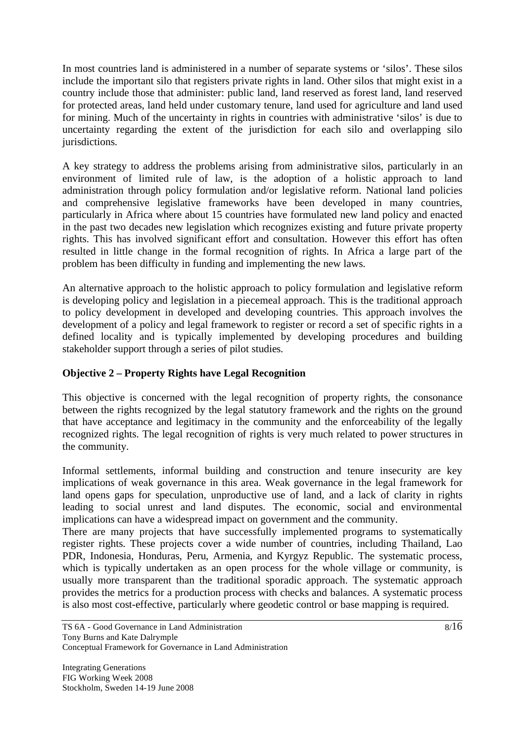In most countries land is administered in a number of separate systems or 'silos'. These silos include the important silo that registers private rights in land. Other silos that might exist in a country include those that administer: public land, land reserved as forest land, land reserved for protected areas, land held under customary tenure, land used for agriculture and land used for mining. Much of the uncertainty in rights in countries with administrative 'silos' is due to uncertainty regarding the extent of the jurisdiction for each silo and overlapping silo jurisdictions.

A key strategy to address the problems arising from administrative silos, particularly in an environment of limited rule of law, is the adoption of a holistic approach to land administration through policy formulation and/or legislative reform. National land policies and comprehensive legislative frameworks have been developed in many countries, particularly in Africa where about 15 countries have formulated new land policy and enacted in the past two decades new legislation which recognizes existing and future private property rights. This has involved significant effort and consultation. However this effort has often resulted in little change in the formal recognition of rights. In Africa a large part of the problem has been difficulty in funding and implementing the new laws.

An alternative approach to the holistic approach to policy formulation and legislative reform is developing policy and legislation in a piecemeal approach. This is the traditional approach to policy development in developed and developing countries. This approach involves the development of a policy and legal framework to register or record a set of specific rights in a defined locality and is typically implemented by developing procedures and building stakeholder support through a series of pilot studies.

#### **Objective 2 – Property Rights have Legal Recognition**

This objective is concerned with the legal recognition of property rights, the consonance between the rights recognized by the legal statutory framework and the rights on the ground that have acceptance and legitimacy in the community and the enforceability of the legally recognized rights. The legal recognition of rights is very much related to power structures in the community.

Informal settlements, informal building and construction and tenure insecurity are key implications of weak governance in this area. Weak governance in the legal framework for land opens gaps for speculation, unproductive use of land, and a lack of clarity in rights leading to social unrest and land disputes. The economic, social and environmental implications can have a widespread impact on government and the community.

There are many projects that have successfully implemented programs to systematically register rights. These projects cover a wide number of countries, including Thailand, Lao PDR, Indonesia, Honduras, Peru, Armenia, and Kyrgyz Republic. The systematic process, which is typically undertaken as an open process for the whole village or community, is usually more transparent than the traditional sporadic approach. The systematic approach provides the metrics for a production process with checks and balances. A systematic process is also most cost-effective, particularly where geodetic control or base mapping is required.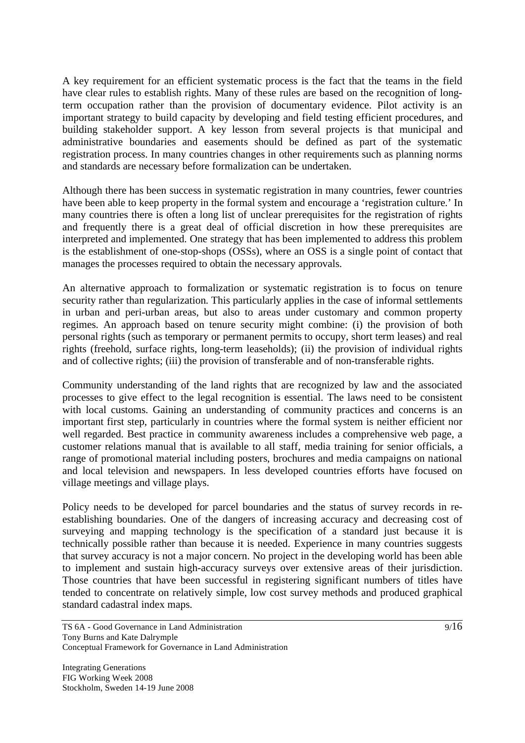A key requirement for an efficient systematic process is the fact that the teams in the field have clear rules to establish rights. Many of these rules are based on the recognition of longterm occupation rather than the provision of documentary evidence. Pilot activity is an important strategy to build capacity by developing and field testing efficient procedures, and building stakeholder support. A key lesson from several projects is that municipal and administrative boundaries and easements should be defined as part of the systematic registration process. In many countries changes in other requirements such as planning norms and standards are necessary before formalization can be undertaken.

Although there has been success in systematic registration in many countries, fewer countries have been able to keep property in the formal system and encourage a 'registration culture.' In many countries there is often a long list of unclear prerequisites for the registration of rights and frequently there is a great deal of official discretion in how these prerequisites are interpreted and implemented. One strategy that has been implemented to address this problem is the establishment of one-stop-shops (OSSs), where an OSS is a single point of contact that manages the processes required to obtain the necessary approvals.

An alternative approach to formalization or systematic registration is to focus on tenure security rather than regularization. This particularly applies in the case of informal settlements in urban and peri-urban areas, but also to areas under customary and common property regimes. An approach based on tenure security might combine: (i) the provision of both personal rights (such as temporary or permanent permits to occupy, short term leases) and real rights (freehold, surface rights, long-term leaseholds); (ii) the provision of individual rights and of collective rights; (iii) the provision of transferable and of non-transferable rights.

Community understanding of the land rights that are recognized by law and the associated processes to give effect to the legal recognition is essential. The laws need to be consistent with local customs. Gaining an understanding of community practices and concerns is an important first step, particularly in countries where the formal system is neither efficient nor well regarded. Best practice in community awareness includes a comprehensive web page, a customer relations manual that is available to all staff, media training for senior officials, a range of promotional material including posters, brochures and media campaigns on national and local television and newspapers. In less developed countries efforts have focused on village meetings and village plays.

Policy needs to be developed for parcel boundaries and the status of survey records in reestablishing boundaries. One of the dangers of increasing accuracy and decreasing cost of surveying and mapping technology is the specification of a standard just because it is technically possible rather than because it is needed. Experience in many countries suggests that survey accuracy is not a major concern. No project in the developing world has been able to implement and sustain high-accuracy surveys over extensive areas of their jurisdiction. Those countries that have been successful in registering significant numbers of titles have tended to concentrate on relatively simple, low cost survey methods and produced graphical standard cadastral index maps.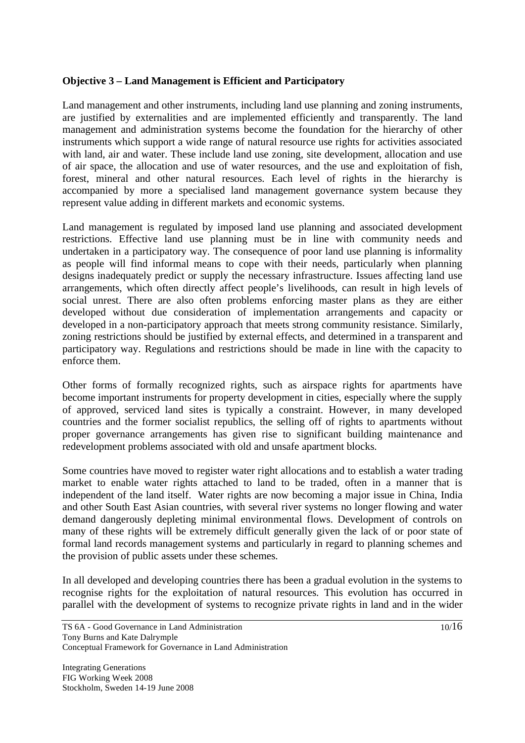#### **Objective 3 – Land Management is Efficient and Participatory**

Land management and other instruments, including land use planning and zoning instruments, are justified by externalities and are implemented efficiently and transparently. The land management and administration systems become the foundation for the hierarchy of other instruments which support a wide range of natural resource use rights for activities associated with land, air and water. These include land use zoning, site development, allocation and use of air space, the allocation and use of water resources, and the use and exploitation of fish, forest, mineral and other natural resources. Each level of rights in the hierarchy is accompanied by more a specialised land management governance system because they represent value adding in different markets and economic systems.

Land management is regulated by imposed land use planning and associated development restrictions. Effective land use planning must be in line with community needs and undertaken in a participatory way. The consequence of poor land use planning is informality as people will find informal means to cope with their needs, particularly when planning designs inadequately predict or supply the necessary infrastructure. Issues affecting land use arrangements, which often directly affect people's livelihoods, can result in high levels of social unrest. There are also often problems enforcing master plans as they are either developed without due consideration of implementation arrangements and capacity or developed in a non-participatory approach that meets strong community resistance. Similarly, zoning restrictions should be justified by external effects, and determined in a transparent and participatory way. Regulations and restrictions should be made in line with the capacity to enforce them.

Other forms of formally recognized rights, such as airspace rights for apartments have become important instruments for property development in cities, especially where the supply of approved, serviced land sites is typically a constraint. However, in many developed countries and the former socialist republics, the selling off of rights to apartments without proper governance arrangements has given rise to significant building maintenance and redevelopment problems associated with old and unsafe apartment blocks.

Some countries have moved to register water right allocations and to establish a water trading market to enable water rights attached to land to be traded, often in a manner that is independent of the land itself. Water rights are now becoming a major issue in China, India and other South East Asian countries, with several river systems no longer flowing and water demand dangerously depleting minimal environmental flows. Development of controls on many of these rights will be extremely difficult generally given the lack of or poor state of formal land records management systems and particularly in regard to planning schemes and the provision of public assets under these schemes.

In all developed and developing countries there has been a gradual evolution in the systems to recognise rights for the exploitation of natural resources. This evolution has occurred in parallel with the development of systems to recognize private rights in land and in the wider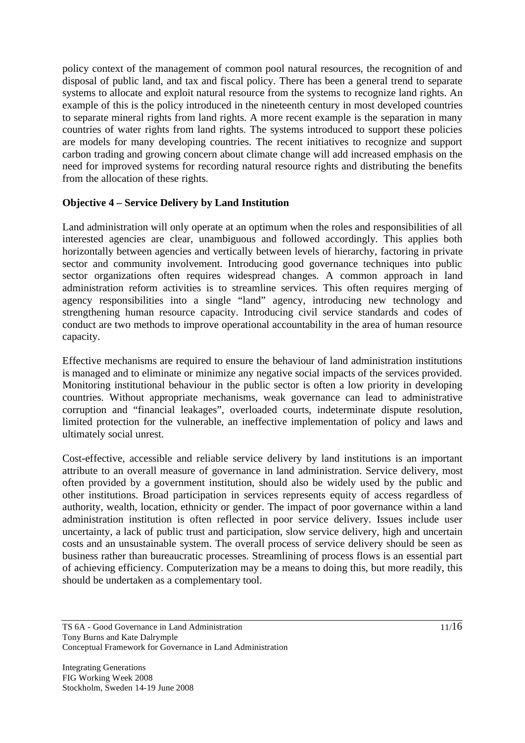policy context of the management of common pool natural resources, the recognition of and disposal of public land, and tax and fiscal policy. There has been a general trend to separate systems to allocate and exploit natural resource from the systems to recognize land rights. An example of this is the policy introduced in the nineteenth century in most developed countries to separate mineral rights from land rights. A more recent example is the separation in many countries of water rights from land rights. The systems introduced to support these policies are models for many developing countries. The recent initiatives to recognize and support carbon trading and growing concern about climate change will add increased emphasis on the need for improved systems for recording natural resource rights and distributing the benefits from the allocation of these rights.

#### **Objective 4 – Service Delivery by Land Institution**

Land administration will only operate at an optimum when the roles and responsibilities of all interested agencies are clear, unambiguous and followed accordingly. This applies both horizontally between agencies and vertically between levels of hierarchy, factoring in private sector and community involvement. Introducing good governance techniques into public sector organizations often requires widespread changes. A common approach in land administration reform activities is to streamline services. This often requires merging of agency responsibilities into a single "land" agency, introducing new technology and strengthening human resource capacity. Introducing civil service standards and codes of conduct are two methods to improve operational accountability in the area of human resource capacity.

Effective mechanisms are required to ensure the behaviour of land administration institutions is managed and to eliminate or minimize any negative social impacts of the services provided. Monitoring institutional behaviour in the public sector is often a low priority in developing countries. Without appropriate mechanisms, weak governance can lead to administrative corruption and "financial leakages", overloaded courts, indeterminate dispute resolution, limited protection for the vulnerable, an ineffective implementation of policy and laws and ultimately social unrest.

Cost-effective, accessible and reliable service delivery by land institutions is an important attribute to an overall measure of governance in land administration. Service delivery, most often provided by a government institution, should also be widely used by the public and other institutions. Broad participation in services represents equity of access regardless of authority, wealth, location, ethnicity or gender. The impact of poor governance within a land administration institution is often reflected in poor service delivery. Issues include user uncertainty, a lack of public trust and participation, slow service delivery, high and uncertain costs and an unsustainable system. The overall process of service delivery should be seen as business rather than bureaucratic processes. Streamlining of process flows is an essential part of achieving efficiency. Computerization may be a means to doing this, but more readily, this should be undertaken as a complementary tool.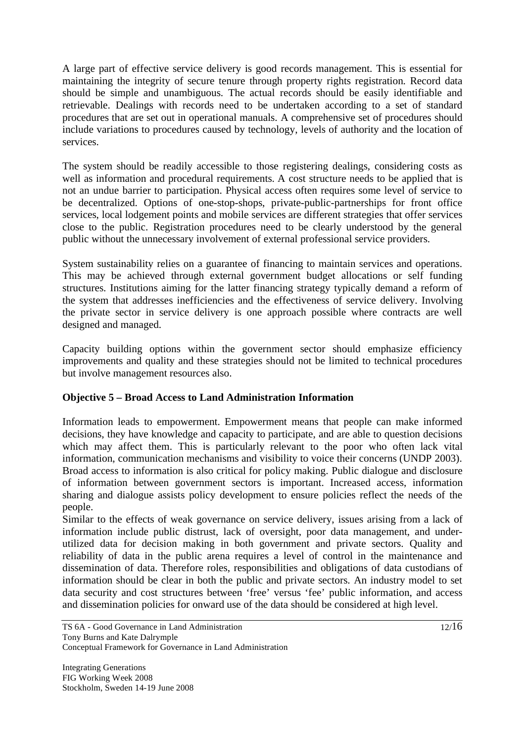A large part of effective service delivery is good records management. This is essential for maintaining the integrity of secure tenure through property rights registration. Record data should be simple and unambiguous. The actual records should be easily identifiable and retrievable. Dealings with records need to be undertaken according to a set of standard procedures that are set out in operational manuals. A comprehensive set of procedures should include variations to procedures caused by technology, levels of authority and the location of services.

The system should be readily accessible to those registering dealings, considering costs as well as information and procedural requirements. A cost structure needs to be applied that is not an undue barrier to participation. Physical access often requires some level of service to be decentralized. Options of one-stop-shops, private-public-partnerships for front office services, local lodgement points and mobile services are different strategies that offer services close to the public. Registration procedures need to be clearly understood by the general public without the unnecessary involvement of external professional service providers.

System sustainability relies on a guarantee of financing to maintain services and operations. This may be achieved through external government budget allocations or self funding structures. Institutions aiming for the latter financing strategy typically demand a reform of the system that addresses inefficiencies and the effectiveness of service delivery. Involving the private sector in service delivery is one approach possible where contracts are well designed and managed.

Capacity building options within the government sector should emphasize efficiency improvements and quality and these strategies should not be limited to technical procedures but involve management resources also.

## **Objective 5 – Broad Access to Land Administration Information**

Information leads to empowerment. Empowerment means that people can make informed decisions, they have knowledge and capacity to participate, and are able to question decisions which may affect them. This is particularly relevant to the poor who often lack vital information, communication mechanisms and visibility to voice their concerns (UNDP 2003). Broad access to information is also critical for policy making. Public dialogue and disclosure of information between government sectors is important. Increased access, information sharing and dialogue assists policy development to ensure policies reflect the needs of the people.

Similar to the effects of weak governance on service delivery, issues arising from a lack of information include public distrust, lack of oversight, poor data management, and underutilized data for decision making in both government and private sectors. Quality and reliability of data in the public arena requires a level of control in the maintenance and dissemination of data. Therefore roles, responsibilities and obligations of data custodians of information should be clear in both the public and private sectors. An industry model to set data security and cost structures between 'free' versus 'fee' public information, and access and dissemination policies for onward use of the data should be considered at high level.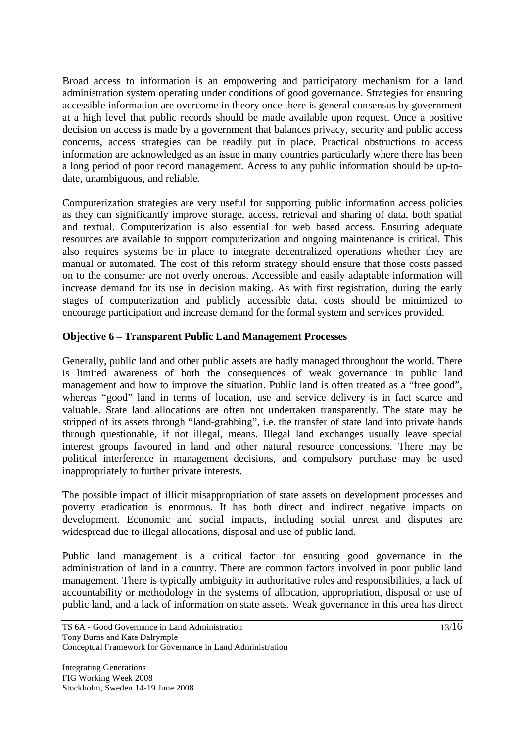Broad access to information is an empowering and participatory mechanism for a land administration system operating under conditions of good governance. Strategies for ensuring accessible information are overcome in theory once there is general consensus by government at a high level that public records should be made available upon request. Once a positive decision on access is made by a government that balances privacy, security and public access concerns, access strategies can be readily put in place. Practical obstructions to access information are acknowledged as an issue in many countries particularly where there has been a long period of poor record management. Access to any public information should be up-todate, unambiguous, and reliable.

Computerization strategies are very useful for supporting public information access policies as they can significantly improve storage, access, retrieval and sharing of data, both spatial and textual. Computerization is also essential for web based access. Ensuring adequate resources are available to support computerization and ongoing maintenance is critical. This also requires systems be in place to integrate decentralized operations whether they are manual or automated. The cost of this reform strategy should ensure that those costs passed on to the consumer are not overly onerous. Accessible and easily adaptable information will increase demand for its use in decision making. As with first registration, during the early stages of computerization and publicly accessible data, costs should be minimized to encourage participation and increase demand for the formal system and services provided.

#### **Objective 6 – Transparent Public Land Management Processes**

Generally, public land and other public assets are badly managed throughout the world. There is limited awareness of both the consequences of weak governance in public land management and how to improve the situation. Public land is often treated as a "free good", whereas "good" land in terms of location, use and service delivery is in fact scarce and valuable. State land allocations are often not undertaken transparently. The state may be stripped of its assets through "land-grabbing", i.e. the transfer of state land into private hands through questionable, if not illegal, means. Illegal land exchanges usually leave special interest groups favoured in land and other natural resource concessions. There may be political interference in management decisions, and compulsory purchase may be used inappropriately to further private interests.

The possible impact of illicit misappropriation of state assets on development processes and poverty eradication is enormous. It has both direct and indirect negative impacts on development. Economic and social impacts, including social unrest and disputes are widespread due to illegal allocations, disposal and use of public land.

Public land management is a critical factor for ensuring good governance in the administration of land in a country. There are common factors involved in poor public land management. There is typically ambiguity in authoritative roles and responsibilities, a lack of accountability or methodology in the systems of allocation, appropriation, disposal or use of public land, and a lack of information on state assets. Weak governance in this area has direct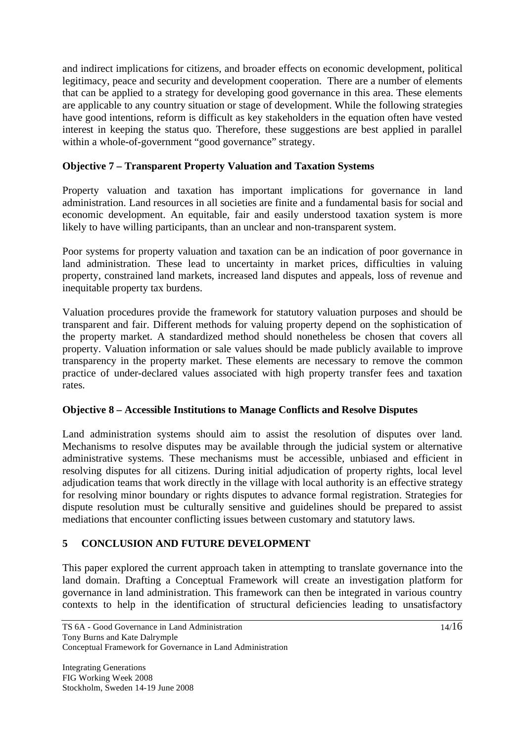and indirect implications for citizens, and broader effects on economic development, political legitimacy, peace and security and development cooperation. There are a number of elements that can be applied to a strategy for developing good governance in this area. These elements are applicable to any country situation or stage of development. While the following strategies have good intentions, reform is difficult as key stakeholders in the equation often have vested interest in keeping the status quo. Therefore, these suggestions are best applied in parallel within a whole-of-government "good governance" strategy.

#### **Objective 7 – Transparent Property Valuation and Taxation Systems**

Property valuation and taxation has important implications for governance in land administration. Land resources in all societies are finite and a fundamental basis for social and economic development. An equitable, fair and easily understood taxation system is more likely to have willing participants, than an unclear and non-transparent system.

Poor systems for property valuation and taxation can be an indication of poor governance in land administration. These lead to uncertainty in market prices, difficulties in valuing property, constrained land markets, increased land disputes and appeals, loss of revenue and inequitable property tax burdens.

Valuation procedures provide the framework for statutory valuation purposes and should be transparent and fair. Different methods for valuing property depend on the sophistication of the property market. A standardized method should nonetheless be chosen that covers all property. Valuation information or sale values should be made publicly available to improve transparency in the property market. These elements are necessary to remove the common practice of under-declared values associated with high property transfer fees and taxation rates.

#### **Objective 8 – Accessible Institutions to Manage Conflicts and Resolve Disputes**

Land administration systems should aim to assist the resolution of disputes over land. Mechanisms to resolve disputes may be available through the judicial system or alternative administrative systems. These mechanisms must be accessible, unbiased and efficient in resolving disputes for all citizens. During initial adjudication of property rights, local level adjudication teams that work directly in the village with local authority is an effective strategy for resolving minor boundary or rights disputes to advance formal registration. Strategies for dispute resolution must be culturally sensitive and guidelines should be prepared to assist mediations that encounter conflicting issues between customary and statutory laws.

## **5 CONCLUSION AND FUTURE DEVELOPMENT**

This paper explored the current approach taken in attempting to translate governance into the land domain. Drafting a Conceptual Framework will create an investigation platform for governance in land administration. This framework can then be integrated in various country contexts to help in the identification of structural deficiencies leading to unsatisfactory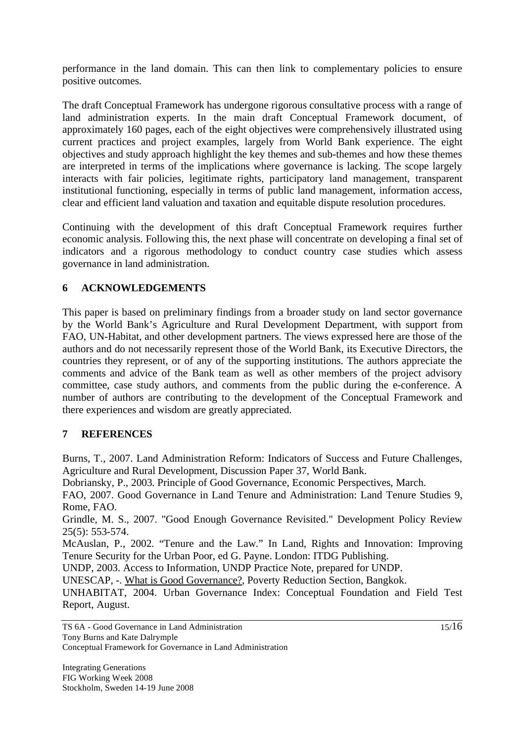performance in the land domain. This can then link to complementary policies to ensure positive outcomes.

The draft Conceptual Framework has undergone rigorous consultative process with a range of land administration experts. In the main draft Conceptual Framework document, of approximately 160 pages, each of the eight objectives were comprehensively illustrated using current practices and project examples, largely from World Bank experience. The eight objectives and study approach highlight the key themes and sub-themes and how these themes are interpreted in terms of the implications where governance is lacking. The scope largely interacts with fair policies, legitimate rights, participatory land management, transparent institutional functioning, especially in terms of public land management, information access, clear and efficient land valuation and taxation and equitable dispute resolution procedures.

Continuing with the development of this draft Conceptual Framework requires further economic analysis. Following this, the next phase will concentrate on developing a final set of indicators and a rigorous methodology to conduct country case studies which assess governance in land administration.

# **6 ACKNOWLEDGEMENTS**

This paper is based on preliminary findings from a broader study on land sector governance by the World Bank's Agriculture and Rural Development Department, with support from FAO, UN-Habitat, and other development partners. The views expressed here are those of the authors and do not necessarily represent those of the World Bank, its Executive Directors, the countries they represent, or of any of the supporting institutions. The authors appreciate the comments and advice of the Bank team as well as other members of the project advisory committee, case study authors, and comments from the public during the e-conference. A number of authors are contributing to the development of the Conceptual Framework and there experiences and wisdom are greatly appreciated.

## **7 REFERENCES**

Burns, T., 2007. Land Administration Reform: Indicators of Success and Future Challenges, Agriculture and Rural Development, Discussion Paper 37, World Bank.

Dobriansky, P., 2003. Principle of Good Governance, Economic Perspectives, March.

FAO, 2007. Good Governance in Land Tenure and Administration: Land Tenure Studies 9, Rome, FAO.

Grindle, M. S., 2007. "Good Enough Governance Revisited." Development Policy Review 25(5): 553-574.

McAuslan, P., 2002. "Tenure and the Law." In Land, Rights and Innovation: Improving Tenure Security for the Urban Poor, ed G. Payne. London: ITDG Publishing.

UNDP, 2003. Access to Information, UNDP Practice Note, prepared for UNDP.

UNESCAP, -. What is Good Governance?, Poverty Reduction Section, Bangkok.

UNHABITAT, 2004. Urban Governance Index: Conceptual Foundation and Field Test Report, August.